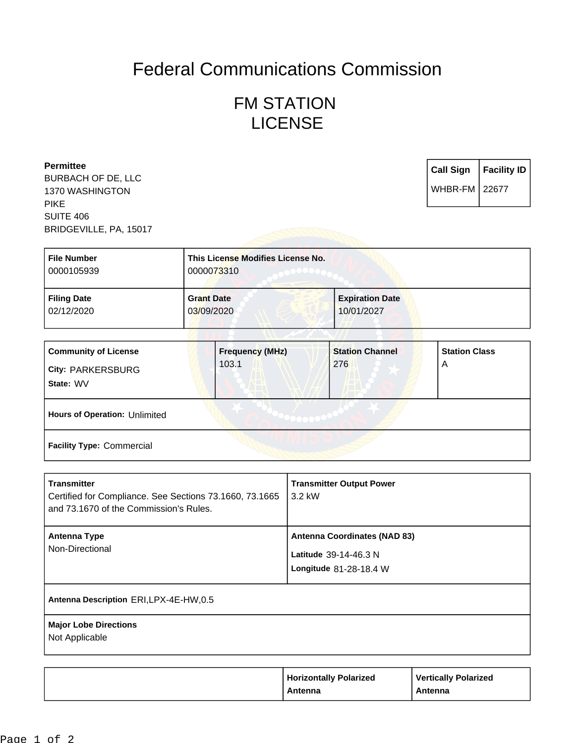## Federal Communications Commission

## FM STATION LICENSE

| <b>Permittee</b><br><b>BURBACH OF DE, LLC</b> |                                   | <b>Call Sign</b>       | <b>Facility ID</b> |
|-----------------------------------------------|-----------------------------------|------------------------|--------------------|
| 1370 WASHINGTON                               |                                   | <b>WHBR-FM   22677</b> |                    |
| <b>PIKE</b>                                   |                                   |                        |                    |
| <b>SUITE 406</b>                              |                                   |                        |                    |
| BRIDGEVILLE, PA, 15017                        |                                   |                        |                    |
|                                               |                                   |                        |                    |
| <b>File Number</b>                            | This License Modifies License No. |                        |                    |
| 0000105939                                    | 0000073310                        |                        |                    |

| <b>Filing Date</b> | <b>Grant Date</b> | <b>Expiration Date</b> |
|--------------------|-------------------|------------------------|
| 02/12/2020         | 03/09/2020        | 10/01/2027             |
|                    |                   |                        |

| <b>Community of License</b><br><b>City: PARKERSBURG</b><br>State: WV | <b>Frequency (MHz)</b><br>103.1 | <b>Station Channel</b><br>276 | <b>Station Class</b><br>A |
|----------------------------------------------------------------------|---------------------------------|-------------------------------|---------------------------|
| Hours of Operation: Unlimited                                        |                                 |                               |                           |
| <b>Facility Type: Commercial</b>                                     |                                 |                               |                           |

| <b>Transmitter</b><br>Certified for Compliance. See Sections 73.1660, 73.1665<br>and 73.1670 of the Commission's Rules. | <b>Transmitter Output Power</b><br>3.2 kW                                              |
|-------------------------------------------------------------------------------------------------------------------------|----------------------------------------------------------------------------------------|
| <b>Antenna Type</b><br>Non-Directional                                                                                  | <b>Antenna Coordinates (NAD 83)</b><br>Latitude 39-14-46.3 N<br>Longitude 81-28-18.4 W |
| Antenna Description ERI, LPX-4E-HW, 0.5                                                                                 |                                                                                        |
| <b>Major Lobe Directions</b><br>Not Applicable                                                                          |                                                                                        |

| <b>Horizontally Polarized</b> | <b>Vertically Polarized</b> |
|-------------------------------|-----------------------------|
| Antenna                       | Antenna                     |